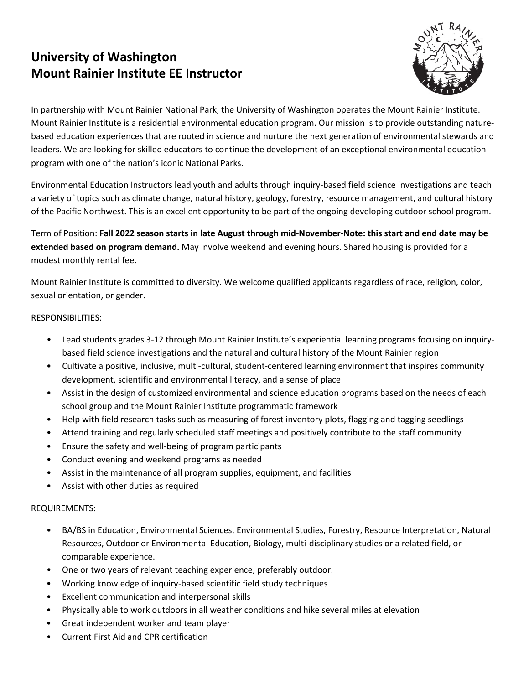# **University of Washington Mount Rainier Institute EE Instructor**



In partnership with Mount Rainier National Park, the University of Washington operates the Mount Rainier Institute. Mount Rainier Institute is a residential environmental education program. Our mission is to provide outstanding naturebased education experiences that are rooted in science and nurture the next generation of environmental stewards and leaders. We are looking for skilled educators to continue the development of an exceptional environmental education program with one of the nation's iconic National Parks.

Environmental Education Instructors lead youth and adults through inquiry-based field science investigations and teach a variety of topics such as climate change, natural history, geology, forestry, resource management, and cultural history of the Pacific Northwest. This is an excellent opportunity to be part of the ongoing developing outdoor school program.

Term of Position: **Fall 2022 season starts in late August through mid-November-Note: this start and end date may be extended based on program demand.** May involve weekend and evening hours. Shared housing is provided for a modest monthly rental fee.

Mount Rainier Institute is committed to diversity. We welcome qualified applicants regardless of race, religion, color, sexual orientation, or gender.

### RESPONSIBILITIES:

- Lead students grades 3-12 through Mount Rainier Institute's experiential learning programs focusing on inquirybased field science investigations and the natural and cultural history of the Mount Rainier region
- Cultivate a positive, inclusive, multi-cultural, student-centered learning environment that inspires community development, scientific and environmental literacy, and a sense of place
- Assist in the design of customized environmental and science education programs based on the needs of each school group and the Mount Rainier Institute programmatic framework
- Help with field research tasks such as measuring of forest inventory plots, flagging and tagging seedlings
- Attend training and regularly scheduled staff meetings and positively contribute to the staff community
- Ensure the safety and well-being of program participants
- Conduct evening and weekend programs as needed
- Assist in the maintenance of all program supplies, equipment, and facilities
- Assist with other duties as required

## REQUIREMENTS:

- BA/BS in Education, Environmental Sciences, Environmental Studies, Forestry, Resource Interpretation, Natural Resources, Outdoor or Environmental Education, Biology, multi-disciplinary studies or a related field, or comparable experience.
- One or two years of relevant teaching experience, preferably outdoor.
- Working knowledge of inquiry-based scientific field study techniques
- Excellent communication and interpersonal skills
- Physically able to work outdoors in all weather conditions and hike several miles at elevation
- Great independent worker and team player
- Current First Aid and CPR certification